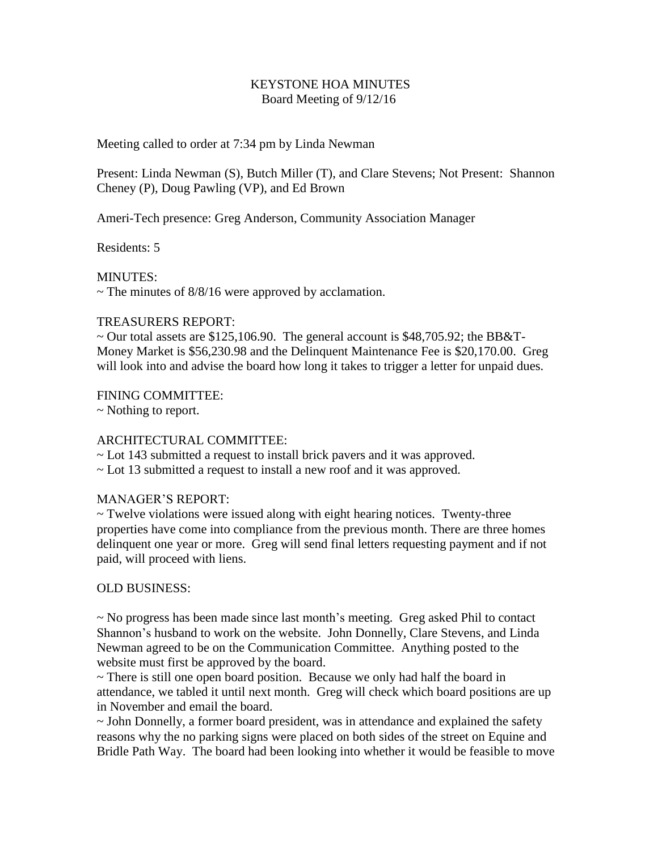## KEYSTONE HOA MINUTES Board Meeting of 9/12/16

Meeting called to order at 7:34 pm by Linda Newman

Present: Linda Newman (S), Butch Miller (T), and Clare Stevens; Not Present: Shannon Cheney (P), Doug Pawling (VP), and Ed Brown

Ameri-Tech presence: Greg Anderson, Community Association Manager

Residents: 5

MINUTES:

 $\sim$  The minutes of 8/8/16 were approved by acclamation.

#### TREASURERS REPORT:

 $\sim$  Our total assets are \$125,106.90. The general account is \$48,705.92; the BB&T-Money Market is \$56,230.98 and the Delinquent Maintenance Fee is \$20,170.00. Greg will look into and advise the board how long it takes to trigger a letter for unpaid dues.

### FINING COMMITTEE:

~ Nothing to report.

# ARCHITECTURAL COMMITTEE:

~ Lot 143 submitted a request to install brick pavers and it was approved.

~ Lot 13 submitted a request to install a new roof and it was approved.

#### MANAGER'S REPORT:

~ Twelve violations were issued along with eight hearing notices. Twenty-three properties have come into compliance from the previous month. There are three homes delinquent one year or more. Greg will send final letters requesting payment and if not paid, will proceed with liens.

# OLD BUSINESS:

~ No progress has been made since last month's meeting. Greg asked Phil to contact Shannon's husband to work on the website. John Donnelly, Clare Stevens, and Linda Newman agreed to be on the Communication Committee. Anything posted to the website must first be approved by the board.

~ There is still one open board position. Because we only had half the board in attendance, we tabled it until next month. Greg will check which board positions are up in November and email the board.

~ John Donnelly, a former board president, was in attendance and explained the safety reasons why the no parking signs were placed on both sides of the street on Equine and Bridle Path Way. The board had been looking into whether it would be feasible to move